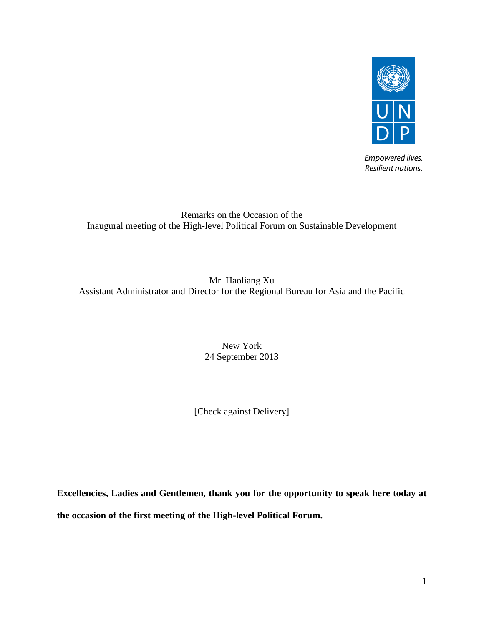

Empowered lives. Resilient nations.

## Remarks on the Occasion of the Inaugural meeting of the High-level Political Forum on Sustainable Development

Mr. Haoliang Xu Assistant Administrator and Director for the Regional Bureau for Asia and the Pacific

> New York 24 September 2013

[Check against Delivery]

**Excellencies, Ladies and Gentlemen, thank you for the opportunity to speak here today at the occasion of the first meeting of the High-level Political Forum.**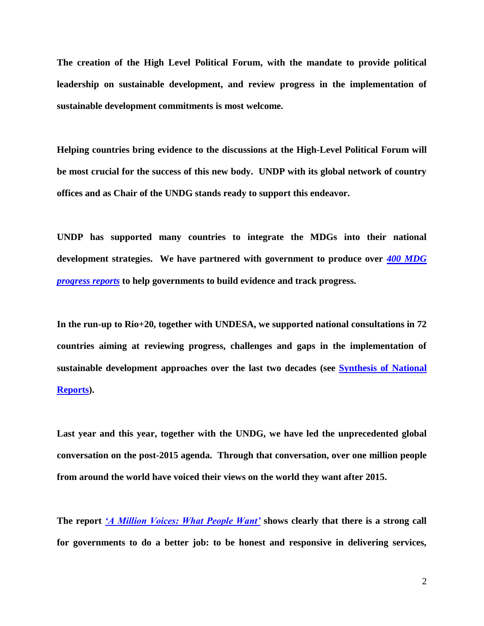**The creation of the High Level Political Forum, with the mandate to provide political leadership on sustainable development, and review progress in the implementation of sustainable development commitments is most welcome.**

**Helping countries bring evidence to the discussions at the High-Level Political Forum will be most crucial for the success of this new body. UNDP with its global network of country offices and as Chair of the UNDG stands ready to support this endeavor.**

**UNDP has supported many countries to integrate the MDGs into their national development strategies. We have partnered with government to produce over** *[400 MDG](http://www.undp.org/content/undp/en/home/librarypage/mdg/mdg-reports/)  [progress reports](http://www.undp.org/content/undp/en/home/librarypage/mdg/mdg-reports/)* **to help governments to build evidence and track progress.**

**In the run-up to Rio+20, together with UNDESA, we supported national consultations in 72 countries aiming at reviewing progress, challenges and gaps in the implementation of sustainable development approaches over the last two decades (see [Synthesis of National](http://www.undp.org/content/undp/en/home/librarypage/environment-energy/integrating_environmentintodevelopment/synthesis-of-national-reports-for-rio-20.html)  [Reports\)](http://www.undp.org/content/undp/en/home/librarypage/environment-energy/integrating_environmentintodevelopment/synthesis-of-national-reports-for-rio-20.html).** 

**Last year and this year, together with the UNDG, we have led the unprecedented global conversation on the post-2015 agenda. Through that conversation, over one million people from around the world have voiced their views on the world they want after 2015.** 

**The report** *['A Million Voices: What People Want'](http://www.worldwewant2015.org/millionvoices)* **shows clearly that there is a strong call for governments to do a better job: to be honest and responsive in delivering services,**